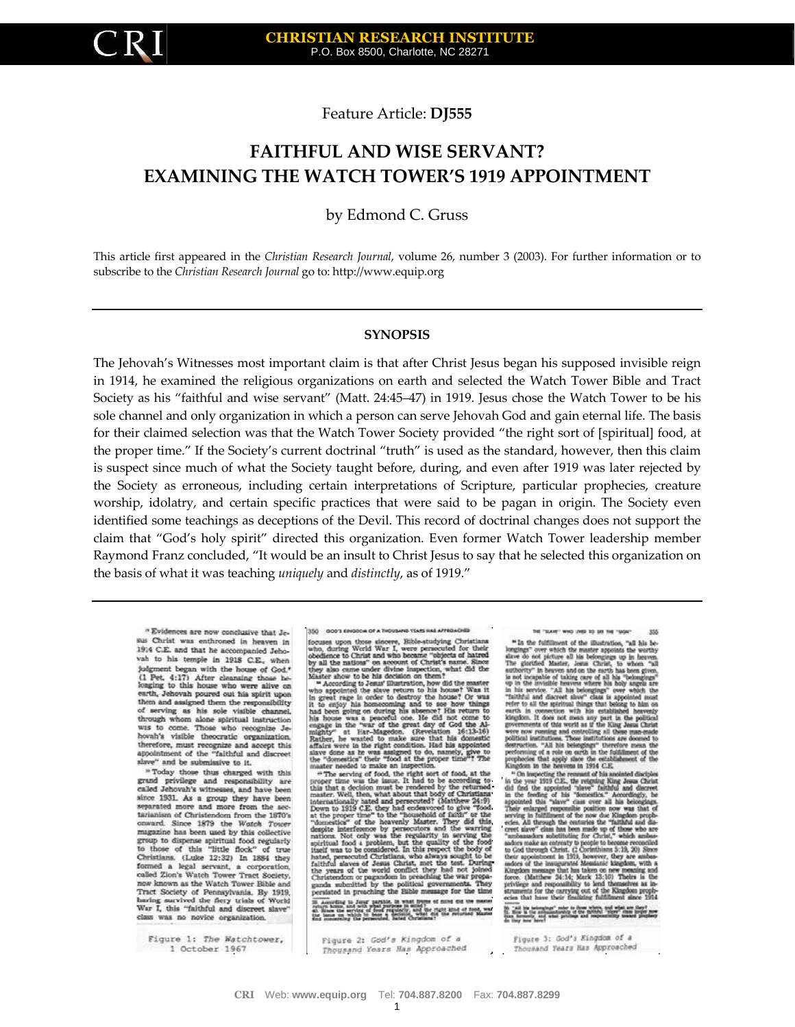Feature Article: **DJ555**

# **FAITHFUL AND WISE SERVANT? EXAMINING THE WATCH TOWER'S 1919 APPOINTMENT**

by Edmond C. Gruss

This article first appeared in the *Christian Research Journal*, volume 26, number 3 (2003). For further information or to subscribe to the *Christian Research Journal* go to: [http://www.equip.org](http://www.equip.org/)

#### **SYNOPSIS**

The Jehovah's Witnesses most important claim is that after Christ Jesus began his supposed invisible reign in 1914, he examined the religious organizations on earth and selected the Watch Tower Bible and Tract Society as his "faithful and wise servant" (Matt. 24:45–47) in 1919. Jesus chose the Watch Tower to be his sole channel and only organization in which a person can serve Jehovah God and gain eternal life. The basis for their claimed selection was that the Watch Tower Society provided "the right sort of [spiritual] food, at the proper time." If the Society's current doctrinal "truth" is used as the standard, however, then this claim is suspect since much of what the Society taught before, during, and even after 1919 was later rejected by the Society as erroneous, including certain interpretations of Scripture, particular prophecies, creature worship, idolatry, and certain specific practices that were said to be pagan in origin. The Society even identified some teachings as deceptions of the Devil. This record of doctrinal changes does not support the claim that "God's holy spirit" directed this organization. Even former Watch Tower leadership member Raymond Franz concluded, "It would be an insult to Christ Jesus to say that he selected this organization on the basis of what it was teaching *uniquely* and *distinctly*, as of 1919."

" Evidences are now conclusive that Jesus Christ was enthroned in heaven in 1914 C.E. and that he accompanied Jehovah to his temple in 1918 C.E., when judgment began with the house of God<sup>3</sup><br>(1 Pet. 4:17) After cleansing those be-<br>longing to this house who were alive on earth, Jehovah poured out his spirit upon<br>them and assigned them the responsibility of serving as his sole visible channel, through whom alone spiritual instruction was to come. Those who recognize Jehovah's visible theocratic organization, therefore, must recognize and accept this<br>appointment of the "faithful and discreet slave" and be submissive to it.

"Today those thus charged with this grand privilege and responsibility are called Jehovah's witnesses, and have been since 1931. As a group they have been separated more and more from the sec-<br>tarianism of Christendom from the 1870's onward. Since 1879 the Watch Tower magazine has been used by this collective group to dispense apiritual food regularly<br>to those of this "little flock" of true of true Christians. (Luke 12:32) In 1884 they formed a legal servant, a corporation, called Zion's Watch Tower Tract Society, now known as the Watch Tower Bible and Fract Society of Pennsylvania. By 1919, having sucvived the flery trials of World War I, this "faithful and discreet slave" class was no novice organization.

Figure 1: The Watchtower, 1 October 1967

350 0003 69/8004 OF A THEW **GATTA BAN 25AZY G** 300 sources upon those sincere, Bibles studying Christians<br>who, during World War I, were persecuted for their<br>who, during World War I, were persecuted for their<br>obedience to Christ and who boostme "objects of hatred<br>by all

who, during Werd Wast 1, were persecuted for their specifical obedience to Christ and who become "objects of Carted by also came ander divine impection, what did the Naskev show to be has decision on them. Naskev show to

According to June 1945-19, 10 what frome of none on the manner<br>three this and with a high spins in mind : and the right stad of flood, was<br>Hinds the screen of the spins with the right stad of flood, was<br>inconsiding the pre

THE "SLOTE" WHO UNSERED BIK THE "SIGN 355

be the contribution of the diluctations, "and the final the contributions of the distance of the distance of the distance of the projection proposed by the proposed by the projection of the projection of the projection of Force to as the approximation<br>particle in connection with his established heavenly knowned and connection with his established heavenly known<br>connection with his established heavenly governmenta of this word as if the Kin

cover, six were clear has been made up of those who are<br>creet six which and been made up of those which and<br>an-anders subtriviting for Christ, "which and<br>an-anders made an entrusty is people to become reconciled<br>to God thr their appointment in 1921, however, they are ambus-melors of the insugaranted Messianic kingdom, with a Kingdom message that has taken on new meaning and force. (Matthew 24:14; Mark 33:10) Theirs is the privilege and responsibility to lend themselves as in-<br>struments for the carrying out of the Kingdom prophecies that have their finalizing fulfillment since 1934

20. Juli by belongings" roler to those where, and what are they received to the control of the state of the control of the control of the control of the control of the control of the control of the control of the control o

Figure 2: God's Kingdom of a Thousand Years Has Approached

Figure 3: God's Kingdom of a Thousand Years Has Approached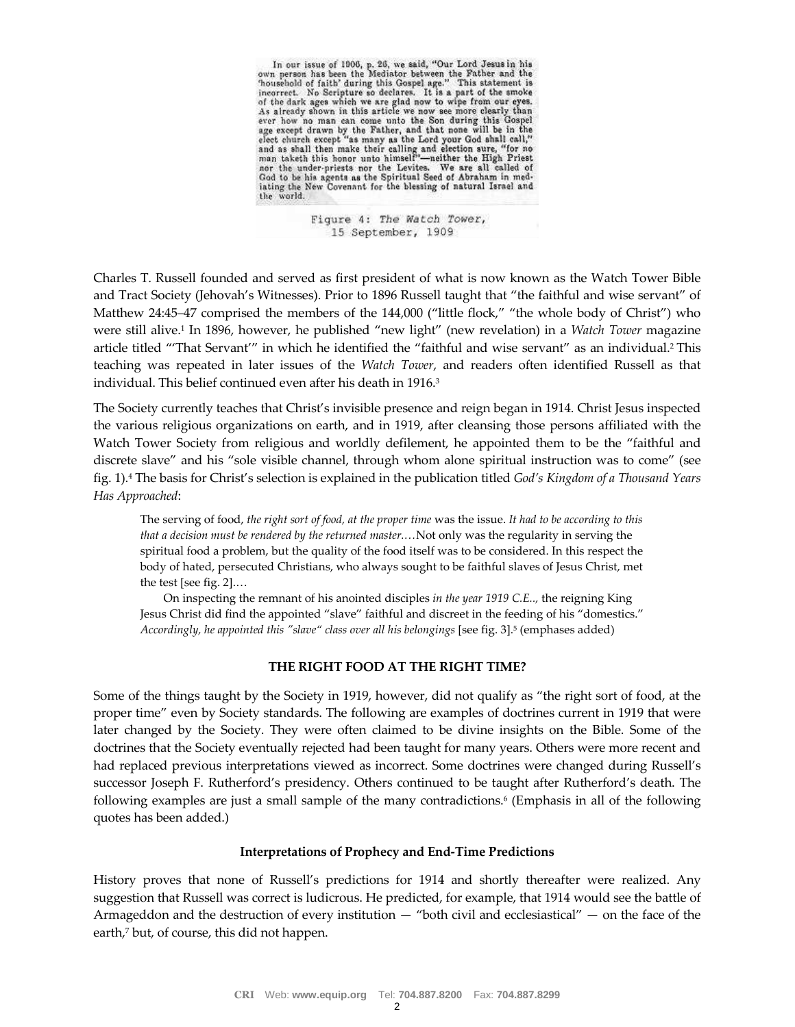In our issue of 1906, p. 26, we said, "Our Lord Jesus in his own person has been the Mediator between the Father and the Thousehold of faith' during this Gospel age." This statement is incorrect. No Scripture so declares. nonceptable in Surface of the Seripture so declares. It is a part of the smoke incorrect. No Seripture so declares. It is a part of the smoke of the dark ages which we are glad now to wipe from our eyes. As already shown i

> Figure 4: The Watch Tower, 15 September, 1909

Charles T. Russell founded and served as first president of what is now known as the Watch Tower Bible and Tract Society (Jehovah's Witnesses). Prior to 1896 Russell taught that "the faithful and wise servant" of Matthew 24:45–47 comprised the members of the 144,000 ("little flock," "the whole body of Christ") who were still alive.<sup>1</sup> In 1896, however, he published "new light" (new revelation) in a *Watch Tower* magazine article titled "'That Servant'" in which he identified the "faithful and wise servant" as an individual.<sup>2</sup> This teaching was repeated in later issues of the *Watch Tower*, and readers often identified Russell as that individual. This belief continued even after his death in 1916.<sup>3</sup>

The Society currently teaches that Christ's invisible presence and reign began in 1914. Christ Jesus inspected the various religious organizations on earth, and in 1919, after cleansing those persons affiliated with the Watch Tower Society from religious and worldly defilement, he appointed them to be the "faithful and discrete slave" and his "sole visible channel, through whom alone spiritual instruction was to come" (see fig. 1).<sup>4</sup> The basis for Christ's selection is explained in the publication titled *God's Kingdom of a Thousand Years Has Approached*:

The serving of food, *the right sort of food, at the proper time* was the issue. *It had to be according to this that a decision must be rendered by the returned master.…*Not only was the regularity in serving the spiritual food a problem, but the quality of the food itself was to be considered. In this respect the body of hated, persecuted Christians, who always sought to be faithful slaves of Jesus Christ, met the test [see fig. 2].…

On inspecting the remnant of his anointed disciples *in the year 1919 C.E..,* the reigning King Jesus Christ did find the appointed "slave" faithful and discreet in the feeding of his "domestics." *Accordingly, he appointed this "slave" class over all his belongings* [see fig. 3].<sup>5</sup> (emphases added)

#### **THE RIGHT FOOD AT THE RIGHT TIME?**

Some of the things taught by the Society in 1919, however, did not qualify as "the right sort of food, at the proper time" even by Society standards. The following are examples of doctrines current in 1919 that were later changed by the Society. They were often claimed to be divine insights on the Bible. Some of the doctrines that the Society eventually rejected had been taught for many years. Others were more recent and had replaced previous interpretations viewed as incorrect. Some doctrines were changed during Russell's successor Joseph F. Rutherford's presidency. Others continued to be taught after Rutherford's death. The following examples are just a small sample of the many contradictions.<sup>6</sup> (Emphasis in all of the following quotes has been added.)

#### **Interpretations of Prophecy and End-Time Predictions**

History proves that none of Russell's predictions for 1914 and shortly thereafter were realized. Any suggestion that Russell was correct is ludicrous. He predicted, for example, that 1914 would see the battle of Armageddon and the destruction of every institution — "both civil and ecclesiastical" — on the face of the earth,<sup>7</sup> but, of course, this did not happen.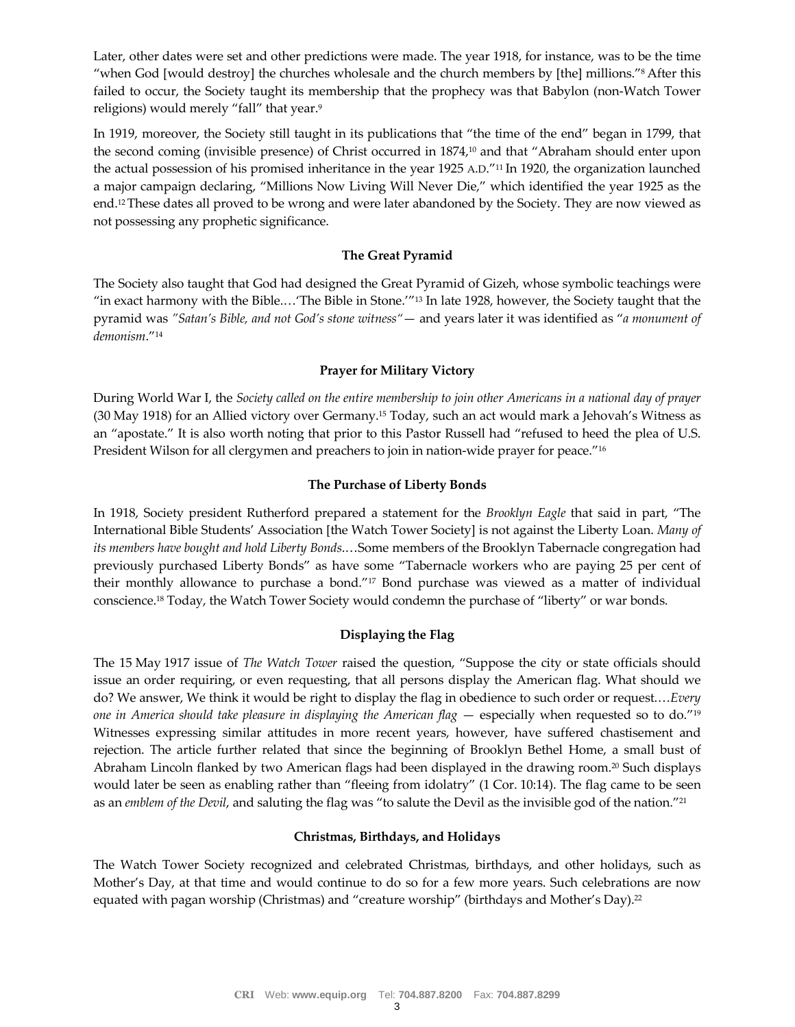Later, other dates were set and other predictions were made. The year 1918, for instance, was to be the time "when God [would destroy] the churches wholesale and the church members by [the] millions."<sup>8</sup> After this failed to occur, the Society taught its membership that the prophecy was that Babylon (non-Watch Tower religions) would merely "fall" that year.<sup>9</sup>

In 1919, moreover, the Society still taught in its publications that "the time of the end" began in 1799, that the second coming (invisible presence) of Christ occurred in 1874,<sup>10</sup> and that "Abraham should enter upon the actual possession of his promised inheritance in the year 1925 A.D."<sup>11</sup> In 1920, the organization launched a major campaign declaring, "Millions Now Living Will Never Die," which identified the year 1925 as the end.12These dates all proved to be wrong and were later abandoned by the Society. They are now viewed as not possessing any prophetic significance.

## **The Great Pyramid**

The Society also taught that God had designed the Great Pyramid of Gizeh, whose symbolic teachings were "in exact harmony with the Bible.…'The Bible in Stone.'"<sup>13</sup> In late 1928, however, the Society taught that the pyramid was *"Satan's Bible, and not God's stone witness"*— and years later it was identified as "*a monument of demonism*."<sup>14</sup>

# **Prayer for Military Victory**

During World War I, the *Society called on the entire membership to join other Americans in a national day of prayer* (30 May 1918) for an Allied victory over Germany.<sup>15</sup> Today, such an act would mark a Jehovah's Witness as an "apostate." It is also worth noting that prior to this Pastor Russell had "refused to heed the plea of U.S. President Wilson for all clergymen and preachers to join in nation-wide prayer for peace."<sup>16</sup>

# **The Purchase of Liberty Bonds**

In 1918, Society president Rutherford prepared a statement for the *Brooklyn Eagle* that said in part, "The International Bible Students' Association [the Watch Tower Society] is not against the Liberty Loan. *Many of its members have bought and hold Liberty Bonds*.…Some members of the Brooklyn Tabernacle congregation had previously purchased Liberty Bonds" as have some "Tabernacle workers who are paying 25 per cent of their monthly allowance to purchase a bond."<sup>17</sup> Bond purchase was viewed as a matter of individual conscience.<sup>18</sup> Today, the Watch Tower Society would condemn the purchase of "liberty" or war bonds.

# **Displaying the Flag**

The 15 May 1917 issue of *The Watch Tower* raised the question, "Suppose the city or state officials should issue an order requiring, or even requesting, that all persons display the American flag. What should we do? We answer, We think it would be right to display the flag in obedience to such order or request.…*Every one in America should take pleasure in displaying the American flag* — especially when requested so to do."<sup>19</sup> Witnesses expressing similar attitudes in more recent years, however, have suffered chastisement and rejection. The article further related that since the beginning of Brooklyn Bethel Home, a small bust of Abraham Lincoln flanked by two American flags had been displayed in the drawing room.<sup>20</sup> Such displays would later be seen as enabling rather than "fleeing from idolatry" (1 Cor. 10:14). The flag came to be seen as an *emblem of the Devil*, and saluting the flag was "to salute the Devil as the invisible god of the nation."<sup>21</sup>

# **Christmas, Birthdays, and Holidays**

The Watch Tower Society recognized and celebrated Christmas, birthdays, and other holidays, such as Mother's Day, at that time and would continue to do so for a few more years. Such celebrations are now equated with pagan worship (Christmas) and "creature worship" (birthdays and Mother's Day).<sup>22</sup>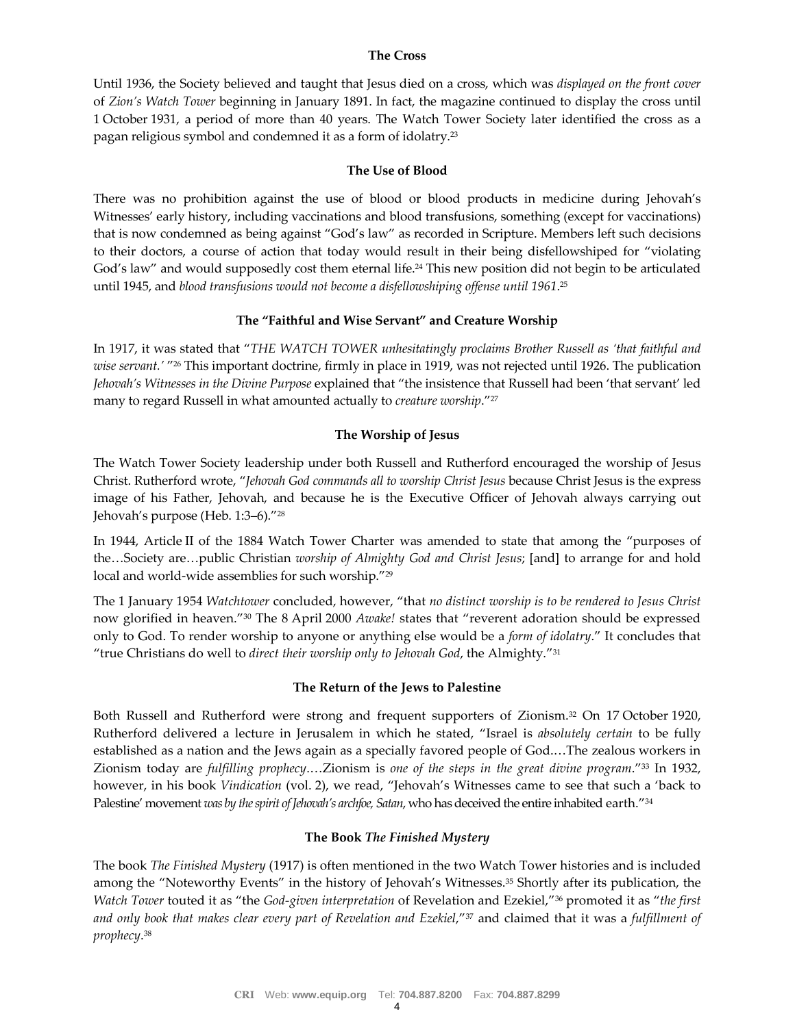## **The Cross**

Until 1936, the Society believed and taught that Jesus died on a cross, which was *displayed on the front cover* of *Zion's Watch Tower* beginning in January 1891. In fact, the magazine continued to display the cross until 1 October 1931, a period of more than 40 years. The Watch Tower Society later identified the cross as a pagan religious symbol and condemned it as a form of idolatry.<sup>23</sup>

## **The Use of Blood**

There was no prohibition against the use of blood or blood products in medicine during Jehovah's Witnesses' early history, including vaccinations and blood transfusions, something (except for vaccinations) that is now condemned as being against "God's law" as recorded in Scripture. Members left such decisions to their doctors, a course of action that today would result in their being disfellowshiped for "violating God's law" and would supposedly cost them eternal life.<sup>24</sup> This new position did not begin to be articulated until 1945, and *blood transfusions would not become a disfellowshiping offense until 1961*. 25

## **The "Faithful and Wise Servant" and Creature Worship**

In 1917, it was stated that "*THE WATCH TOWER unhesitatingly proclaims Brother Russell as 'that faithful and wise servant.'* " <sup>26</sup> This important doctrine, firmly in place in 1919, was not rejected until 1926. The publication *Jehovah's Witnesses in the Divine Purpose* explained that "the insistence that Russell had been 'that servant' led many to regard Russell in what amounted actually to *creature worship*."<sup>27</sup>

# **The Worship of Jesus**

The Watch Tower Society leadership under both Russell and Rutherford encouraged the worship of Jesus Christ. Rutherford wrote, "*Jehovah God commands all to worship Christ Jesus* because Christ Jesus is the express image of his Father, Jehovah, and because he is the Executive Officer of Jehovah always carrying out Jehovah's purpose (Heb. 1:3–6)."<sup>28</sup>

In 1944, Article II of the 1884 Watch Tower Charter was amended to state that among the "purposes of the…Society are…public Christian *worship of Almighty God and Christ Jesus*; [and] to arrange for and hold local and world-wide assemblies for such worship."<sup>29</sup>

The 1 January 1954 *Watchtower* concluded, however, "that *no distinct worship is to be rendered to Jesus Christ* now glorified in heaven."<sup>30</sup> The 8 April 2000 *Awake!* states that "reverent adoration should be expressed only to God. To render worship to anyone or anything else would be a *form of idolatry*." It concludes that "true Christians do well to *direct their worship only to Jehovah God*, the Almighty."<sup>31</sup>

#### **The Return of the Jews to Palestine**

Both Russell and Rutherford were strong and frequent supporters of Zionism.<sup>32</sup> On 17 October 1920, Rutherford delivered a lecture in Jerusalem in which he stated, "Israel is *absolutely certain* to be fully established as a nation and the Jews again as a specially favored people of God.…The zealous workers in Zionism today are *fulfilling prophecy*.…Zionism is *one of the steps in the great divine program*."<sup>33</sup> In 1932, however, in his book *Vindication* (vol. 2), we read, "Jehovah's Witnesses came to see that such a 'back to Palestine' movement *was by the spirit of Jehovah's archfoe, Satan*, who has deceived the entire inhabited earth."<sup>34</sup>

# **The Book** *The Finished Mystery*

The book *The Finished Mystery* (1917) is often mentioned in the two Watch Tower histories and is included among the "Noteworthy Events" in the history of Jehovah's Witnesses.<sup>35</sup> Shortly after its publication, the *Watch Tower* touted it as "the *God-given interpretation* of Revelation and Ezekiel,"<sup>36</sup> promoted it as "*the first and only book that makes clear every part of Revelation and Ezekiel*,"<sup>37</sup> and claimed that it was a *fulfillment of prophecy*. 38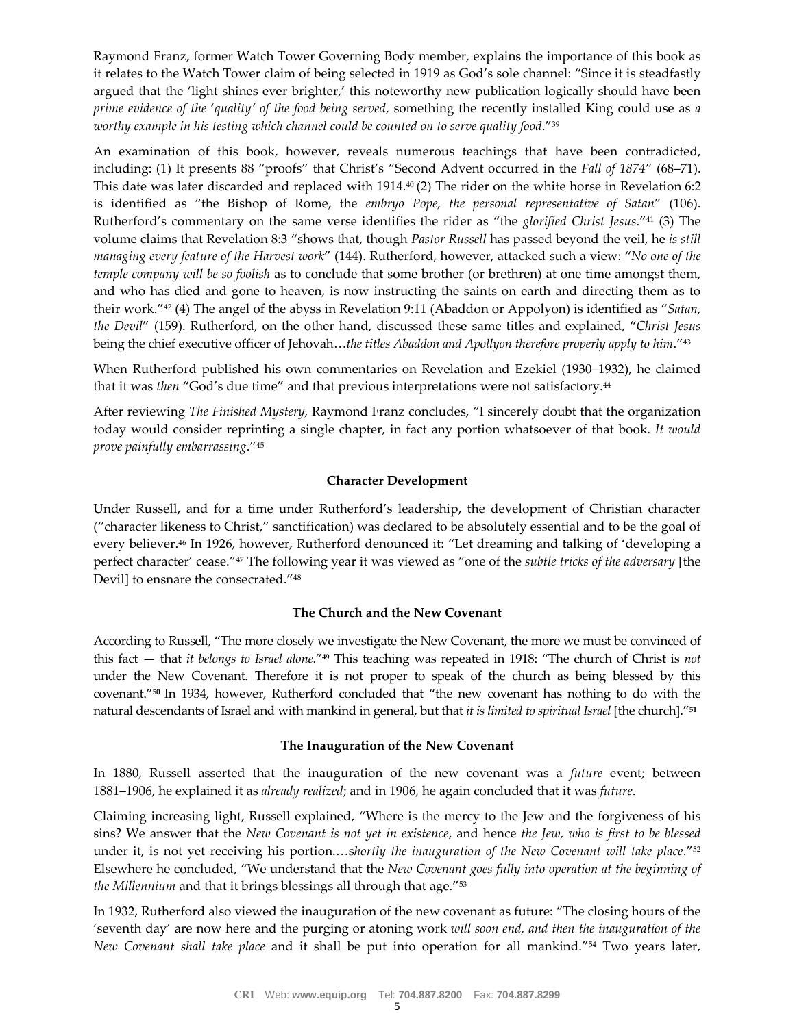Raymond Franz, former Watch Tower Governing Body member, explains the importance of this book as it relates to the Watch Tower claim of being selected in 1919 as God's sole channel: "Since it is steadfastly argued that the 'light shines ever brighter,' this noteworthy new publication logically should have been *prime evidence of the* '*quality' of the food being served*, something the recently installed King could use as *a worthy example in his testing which channel could be counted on to serve quality food*."<sup>39</sup>

An examination of this book, however, reveals numerous teachings that have been contradicted, including: (1) It presents 88 "proofs" that Christ's "Second Advent occurred in the *Fall of 1874*" (68–71). This date was later discarded and replaced with 1914.<sup>40</sup> (2) The rider on the white horse in Revelation 6:2 is identified as "the Bishop of Rome, the *embryo Pope, the personal representative of Satan*" (106). Rutherford's commentary on the same verse identifies the rider as "the *glorified Christ Jesus*."<sup>41</sup> (3) The volume claims that Revelation 8:3 "shows that, though *Pastor Russell* has passed beyond the veil, he *is still managing every feature of the Harvest work*" (144). Rutherford, however, attacked such a view: "*No one of the temple company will be so foolish* as to conclude that some brother (or brethren) at one time amongst them, and who has died and gone to heaven, is now instructing the saints on earth and directing them as to their work."<sup>42</sup> (4) The angel of the abyss in Revelation 9:11 (Abaddon or Appolyon) is identified as "*Satan, the Devil*" (159). Rutherford, on the other hand, discussed these same titles and explained, "*Christ Jesus* being the chief executive officer of Jehovah…*the titles Abaddon and Apollyon therefore properly apply to him*."<sup>43</sup>

When Rutherford published his own commentaries on Revelation and Ezekiel (1930–1932), he claimed that it was *then* "God's due time" and that previous interpretations were not satisfactory.<sup>44</sup>

After reviewing *The Finished Mystery,* Raymond Franz concludes, "I sincerely doubt that the organization today would consider reprinting a single chapter, in fact any portion whatsoever of that book. *It would prove painfully embarrassing*."<sup>45</sup>

# **Character Development**

Under Russell, and for a time under Rutherford's leadership, the development of Christian character ("character likeness to Christ," sanctification) was declared to be absolutely essential and to be the goal of every believer.<sup>46</sup> In 1926, however, Rutherford denounced it: "Let dreaming and talking of 'developing a perfect character' cease."<sup>47</sup> The following year it was viewed as "one of the *subtle tricks of the adversary* [the Devil] to ensnare the consecrated."<sup>48</sup>

## **The Church and the New Covenant**

According to Russell, "The more closely we investigate the New Covenant, the more we must be convinced of this fact — that *it belongs to Israel alone*."**<sup>49</sup>** This teaching was repeated in 1918: "The church of Christ is *not* under the New Covenant. Therefore it is not proper to speak of the church as being blessed by this covenant."**<sup>50</sup>** In 1934, however, Rutherford concluded that "the new covenant has nothing to do with the natural descendants of Israel and with mankind in general, but that *it is limited to spiritual Israel* [the church]."**<sup>51</sup>**

#### **The Inauguration of the New Covenant**

In 1880, Russell asserted that the inauguration of the new covenant was a *future* event; between 1881–1906, he explained it as *already realized*; and in 1906, he again concluded that it was *future*.

Claiming increasing light, Russell explained, "Where is the mercy to the Jew and the forgiveness of his sins? We answer that the *New Covenant is not yet in existence*, and hence *the Jew, who is first to be blessed* under it, is not yet receiving his portion.…s*hortly the inauguration of the New Covenant will take place*."<sup>52</sup> Elsewhere he concluded, "We understand that the *New Covenant goes fully into operation at the beginning of the Millennium* and that it brings blessings all through that age."<sup>53</sup>

In 1932, Rutherford also viewed the inauguration of the new covenant as future: "The closing hours of the 'seventh day' are now here and the purging or atoning work *will soon end, and then the inauguration of the New Covenant shall take place* and it shall be put into operation for all mankind."<sup>54</sup> Two years later,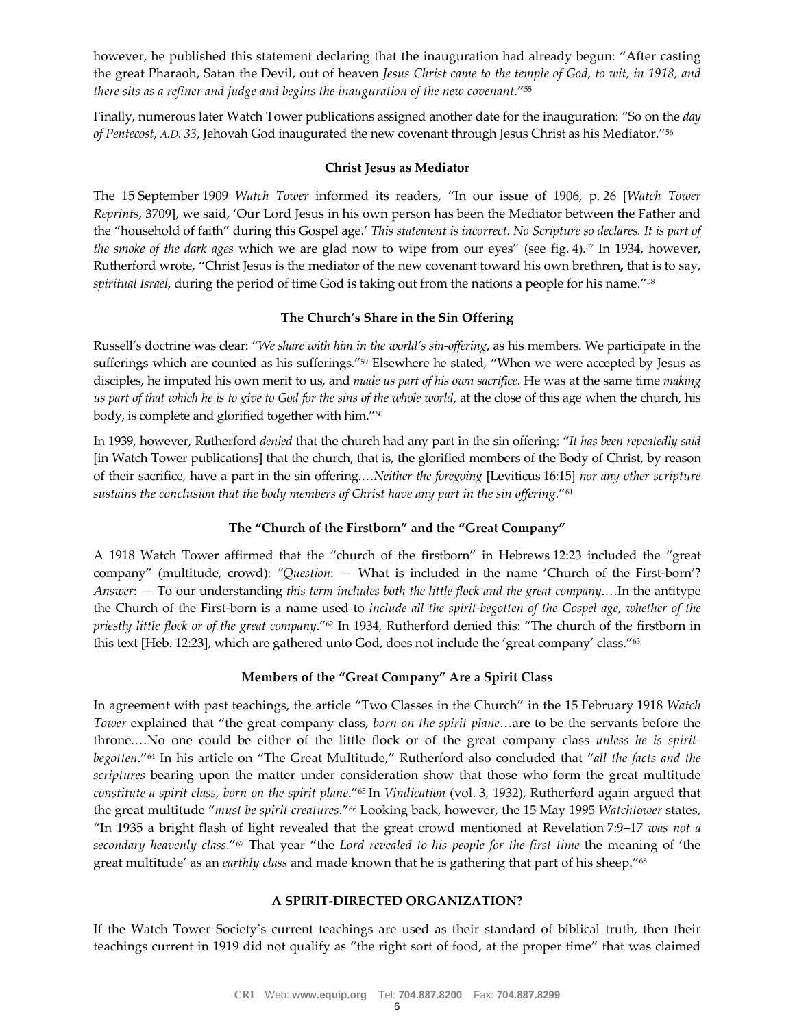however, he published this statement declaring that the inauguration had already begun: "After casting the great Pharaoh, Satan the Devil, out of heaven *Jesus Christ came to the temple of God, to wit, in 1918, and there sits as a refiner and judge and begins the inauguration of the new covenant*."<sup>55</sup>

Finally, numerous later Watch Tower publications assigned another date for the inauguration: "So on the *day of Pentecost*, *A.D. 33*, Jehovah God inaugurated the new covenant through Jesus Christ as his Mediator."<sup>56</sup>

## **Christ Jesus as Mediator**

The 15 September 1909 *Watch Tower* informed its readers, "In our issue of 1906, p. 26 [*Watch Tower Reprints*, 3709], we said, 'Our Lord Jesus in his own person has been the Mediator between the Father and the "household of faith" during this Gospel age.' *This statement is incorrect. No Scripture so declares. It is part of the smoke of the dark ages* which we are glad now to wipe from our eyes" (see fig. 4).<sup>57</sup> In 1934, however, Rutherford wrote, "Christ Jesus is the mediator of the new covenant toward his own brethren**,** that is to say, *spiritual Israel*, during the period of time God is taking out from the nations a people for his name."<sup>58</sup>

# **The Church's Share in the Sin Offering**

Russell's doctrine was clear: "*We share with him in the world's sin-offering*, as his members. We participate in the sufferings which are counted as his sufferings."<sup>59</sup> Elsewhere he stated, "When we were accepted by Jesus as disciples, he imputed his own merit to us, and *made us part of his own sacrifice*. He was at the same time *making us part of that which he is to give to God for the sins of the whole world*, at the close of this age when the church, his body, is complete and glorified together with him."<sup>60</sup>

In 1939, however, Rutherford *denied* that the church had any part in the sin offering: "*It has been repeatedly said* [in Watch Tower publications] that the church, that is, the glorified members of the Body of Christ, by reason of their sacrifice, have a part in the sin offering.…*Neither the foregoing* [Leviticus 16:15] *nor any other scripture sustains the conclusion that the body members of Christ have any part in the sin offering*." 61

# **The "Church of the Firstborn" and the "Great Company"**

A 1918 Watch Tower affirmed that the "church of the firstborn" in Hebrews 12:23 included the "great company" (multitude, crowd): *"Question*: — What is included in the name 'Church of the First-born'? *Answer*: — To our understanding *this term includes both the little flock and the great company*.…In the antitype the Church of the First-born is a name used to *include all the spirit-begotten of the Gospel age, whether of the priestly little flock or of the great company*."<sup>62</sup> In 1934, Rutherford denied this: "The church of the firstborn in this text [Heb. 12:23], which are gathered unto God, does not include the 'great company' class."<sup>63</sup>

# **Members of the "Great Company" Are a Spirit Class**

In agreement with past teachings, the article "Two Classes in the Church" in the 15 February 1918 *Watch Tower* explained that "the great company class, *born on the spirit plane*…are to be the servants before the throne.…No one could be either of the little flock or of the great company class *unless he is spiritbegotten*."<sup>64</sup> In his article on "The Great Multitude," Rutherford also concluded that "*all the facts and the scriptures* bearing upon the matter under consideration show that those who form the great multitude *constitute a spirit class, born on the spirit plane*."<sup>65</sup> In *Vindication* (vol. 3, 1932), Rutherford again argued that the great multitude "*must be spirit creatures.*" <sup>66</sup> Looking back, however, the 15 May 1995 *Watchtower* states, "In 1935 a bright flash of light revealed that the great crowd mentioned at Revelation 7:9–17 *was not a secondary heavenly class*."<sup>67</sup> That year "the *Lord revealed to his people for the first time* the meaning of 'the great multitude' as an *earthly class* and made known that he is gathering that part of his sheep."<sup>68</sup>

## **A SPIRIT-DIRECTED ORGANIZATION?**

If the Watch Tower Society's current teachings are used as their standard of biblical truth, then their teachings current in 1919 did not qualify as "the right sort of food, at the proper time" that was claimed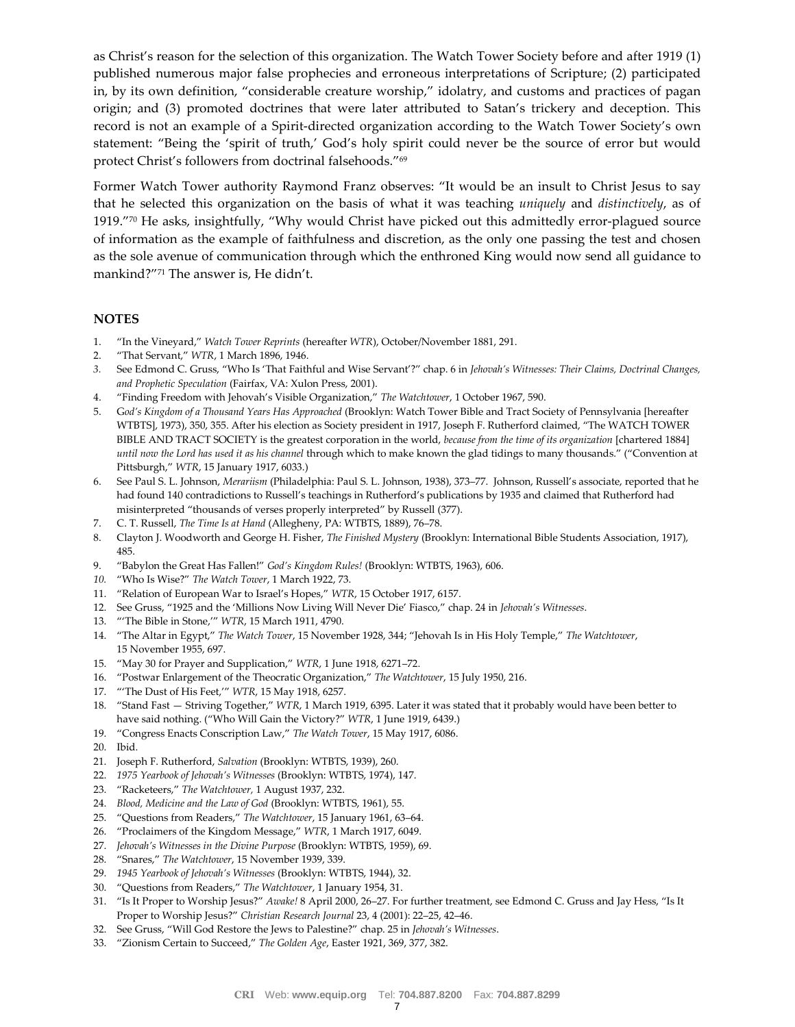as Christ's reason for the selection of this organization. The Watch Tower Society before and after 1919 (1) published numerous major false prophecies and erroneous interpretations of Scripture; (2) participated in, by its own definition, "considerable creature worship," idolatry, and customs and practices of pagan origin; and (3) promoted doctrines that were later attributed to Satan's trickery and deception. This record is not an example of a Spirit-directed organization according to the Watch Tower Society's own statement: "Being the 'spirit of truth,' God's holy spirit could never be the source of error but would protect Christ's followers from doctrinal falsehoods."<sup>69</sup>

Former Watch Tower authority Raymond Franz observes: "It would be an insult to Christ Jesus to say that he selected this organization on the basis of what it was teaching *uniquely* and *distinctively*, as of 1919."<sup>70</sup> He asks, insightfully, "Why would Christ have picked out this admittedly error-plagued source of information as the example of faithfulness and discretion, as the only one passing the test and chosen as the sole avenue of communication through which the enthroned King would now send all guidance to mankind?"<sup>71</sup> The answer is, He didn't.

## **NOTES**

- 1. "In the Vineyard," *Watch Tower Reprints* (hereafter *WTR*), October/November 1881, 291.
- 2. "That Servant," *WTR*, 1 March 1896, 1946.
- *3.* See Edmond C. Gruss, "Who Is 'That Faithful and Wise Servant'?" chap. 6 in *Jehovah's Witnesses: Their Claims, Doctrinal Changes, and Prophetic Speculation* (Fairfax, VA: Xulon Press, 2001).
- 4. "Finding Freedom with Jehovah's Visible Organization," *The Watchtower*, 1 October 1967, 590.
- 5. G*od's Kingdom of a Thousand Years Has Approached* (Brooklyn: Watch Tower Bible and Tract Society of Pennsylvania [hereafter WTBTS], 1973), 350, 355. After his election as Society president in 1917, Joseph F. Rutherford claimed, "The WATCH TOWER BIBLE AND TRACT SOCIETY is the greatest corporation in the world, *because from the time of its organization* [chartered 1884] *until now the Lord has used it as his channel* through which to make known the glad tidings to many thousands." ("Convention at Pittsburgh," *WTR*, 15 January 1917, 6033.)
- 6. See Paul S. L. Johnson, *Merariism* (Philadelphia: Paul S. L. Johnson, 1938), 373–77. Johnson, Russell's associate, reported that he had found 140 contradictions to Russell's teachings in Rutherford's publications by 1935 and claimed that Rutherford had misinterpreted "thousands of verses properly interpreted" by Russell (377).
- 7. C. T. Russell, *The Time Is at Hand* (Allegheny, PA: WTBTS, 1889), 76–78.
- 8. Clayton J. Woodworth and George H. Fisher, *The Finished Mystery* (Brooklyn: International Bible Students Association, 1917), 485.
- 9. "Babylon the Great Has Fallen!" *God's Kingdom Rules!* (Brooklyn: WTBTS, 1963), 606.
- *10.* "Who Is Wise?" *The Watch Tower*, 1 March 1922, 73.
- 11. "Relation of European War to Israel's Hopes," *WTR*, 15 October 1917, 6157.
- 12. See Gruss, "1925 and the 'Millions Now Living Will Never Die' Fiasco," chap. 24 in *Jehovah's Witnesses*.
- 13. "'The Bible in Stone,'" *WTR*, 15 March 1911, 4790.
- 14. "The Altar in Egypt," *The Watch Tower*, 15 November 1928, 344; "Jehovah Is in His Holy Temple," *The Watchtower*, 15 November 1955, 697.
- 15. "May 30 for Prayer and Supplication," *WTR*, 1 June 1918, 6271–72.
- 16. "Postwar Enlargement of the Theocratic Organization," *The Watchtower*, 15 July 1950, 216.
- 17. "'The Dust of His Feet,'" *WTR*, 15 May 1918, 6257.
- 18. "Stand Fast Striving Together," *WTR*, 1 March 1919, 6395. Later it was stated that it probably would have been better to have said nothing. ("Who Will Gain the Victory?" *WTR*, 1 June 1919, 6439.)
- 19. "Congress Enacts Conscription Law," *The Watch Tower*, 15 May 1917, 6086.
- 20. Ibid.
- 21. Joseph F. Rutherford, *Salvation* (Brooklyn: WTBTS, 1939), 260.
- 22. *1975 Yearbook of Jehovah's Witnesses* (Brooklyn: WTBTS, 1974), 147.
- 23. "Racketeers," *The Watchtower,* 1 August 1937, 232.
- 24. *Blood, Medicine and the Law of God* (Brooklyn: WTBTS, 1961), 55.
- 25. "Questions from Readers," *The Watchtower*, 15 January 1961, 63–64.
- 26. "Proclaimers of the Kingdom Message," *WTR*, 1 March 1917, 6049.
- 27. *Jehovah's Witnesses in the Divine Purpose* (Brooklyn: WTBTS, 1959), 69.
- 28. "Snares," *The Watchtower*, 15 November 1939, 339.
- 29. *1945 Yearbook of Jehovah's Witnesses* (Brooklyn: WTBTS, 1944), 32.
- 30. "Questions from Readers," *The Watchtower*, 1 January 1954, 31.
- 31. "Is It Proper to Worship Jesus?" *Awake!* 8 April 2000, 26–27. For further treatment, see Edmond C. Gruss and Jay Hess, "Is It Proper to Worship Jesus?" *Christian Research Journal* 23, 4 (2001): 22–25, 42–46.
- 32. See Gruss, "Will God Restore the Jews to Palestine?" chap. 25 in *Jehovah's Witnesses*.
- 33. "Zionism Certain to Succeed," *The Golden Age*, Easter 1921, 369, 377, 382.